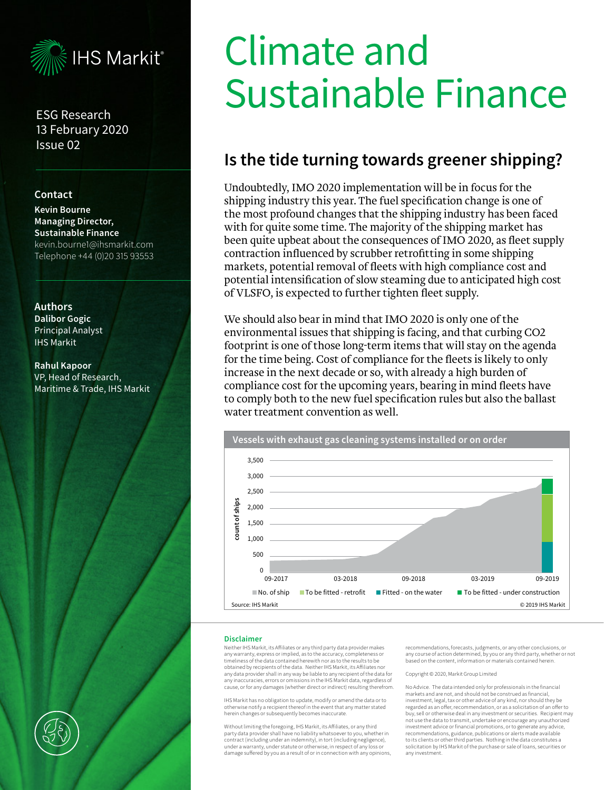

ESG Research 13 February 2020 Issue 02

#### **Contact**

**Kevin Bourne Managing Director, Sustainable Finance** kevin.bourne1@ihsmarkit.com Telephone +44 (0)20 315 93553

#### **Authors Dalibor Gogic**  Principal Analyst IHS Markit

**Rahul Kapoor**  VP, Head of Research, Maritime & Trade, IHS Markit

# Climate and Sustainable Finance

## **Is the tide turning towards greener shipping?**

Undoubtedly, IMO 2020 implementation will be in focus for the shipping industry this year. The fuel specification change is one of the most profound changes that the shipping industry has been faced with for quite some time. The majority of the shipping market has been quite upbeat about the consequences of IMO 2020, as fleet supply contraction influenced by scrubber retrofitting in some shipping markets, potential removal of fleets with high compliance cost and potential intensification of slow steaming due to anticipated high cost of VLSFO, is expected to further tighten fleet supply.

We should also bear in mind that IMO 2020 is only one of the environmental issues that shipping is facing, and that curbing CO2 footprint is one of those long-term items that will stay on the agenda for the time being. Cost of compliance for the fleets is likely to only increase in the next decade or so, with already a high burden of compliance cost for the upcoming years, bearing in mind fleets have to comply both to the new fuel specification rules but also the ballast water treatment convention as well.



#### **Disclaimer**

Neither IHS Markit, its Affiliates or any third party data provider makes any warranty, express or implied, as to the accuracy, completeness or timeliness of the data contained herewith nor as to the results to be obtained by recipients of the data. Neither IHS Markit, its Affiliates nor any data provider shall in any way be liable to any recipient of the data for any inaccuracies, errors or omissions in the IHS Markit data, regardless of cause, or for any damages (whether direct or indirect) resulting therefrom.

IHS Markit has no obligation to update, modify or amend the data or to otherwise notify a recipient thereof in the event that any matter stated herein changes or subsequently becomes inaccurate.

Without limiting the foregoing, IHS Markit, its Affiliates, or any third party data provider shall have no liability whatsoever to you, whether in contract (including under an indemnity), in tort (including negligence), under a warranty, under statute or otherwise, in respect of any loss or damage suffered by you as a result of or in connection with any opinions,

recommendations, forecasts, judgments, or any other conclusions, or any course of action determined, by you or any third party, whether or not based on the content, information or materials contained herein.

#### Copyright © 2020, Markit Group Limited

No Advice. The data intended only for professionals in the financial markets and are not, and should not be construed as financial, investment, legal, tax or other advice of any kind, nor should they be regarded as an offer, recommendation, or as a solicitation of an offer to buy, sell or otherwise deal in any investment or securities. Recipient may not use the data to transmit, undertake or encourage any unauthorized investment advice or financial promotions, or to generate any advice, recommendations, guidance, publications or alerts made available to its clients or other third parties. Nothing in the data constitutes a solicitation by IHS Markit of the purchase or sale of loans, securities or any investment.

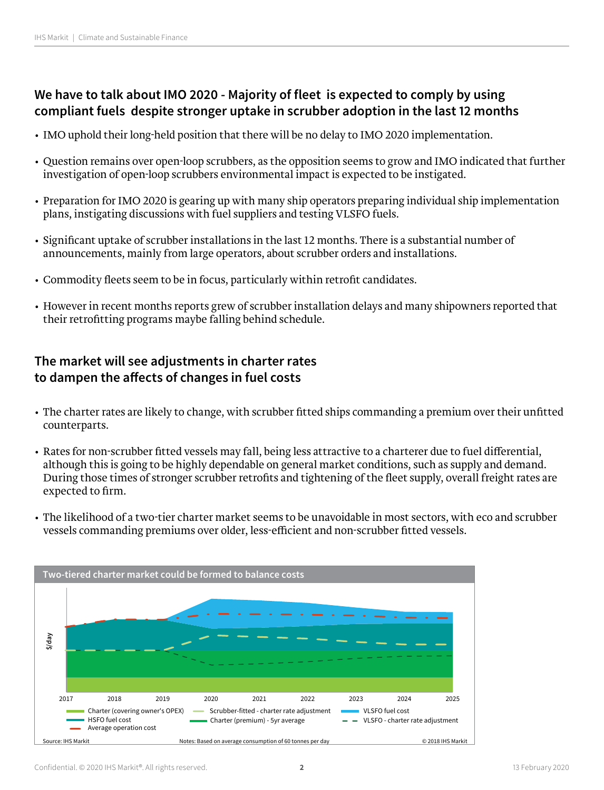#### **We have to talk about IMO 2020 - Majority of fleet is expected to comply by using compliant fuels despite stronger uptake in scrubber adoption in the last 12 months**

- IMO uphold their long-held position that there will be no delay to IMO 2020 implementation.
- Question remains over open-loop scrubbers, as the opposition seems to grow and IMO indicated that further investigation of open-loop scrubbers environmental impact is expected to be instigated.
- Preparation for IMO 2020 is gearing up with many ship operators preparing individual ship implementation plans, instigating discussions with fuel suppliers and testing VLSFO fuels.
- Significant uptake of scrubber installations in the last 12 months. There is a substantial number of announcements, mainly from large operators, about scrubber orders and installations.
- Commodity fleets seem to be in focus, particularly within retrofit candidates.
- However in recent months reports grew of scrubber installation delays and many shipowners reported that their retrofitting programs maybe falling behind schedule.

### **The market will see adjustments in charter rates to dampen the affects of changes in fuel costs**

- The charter rates are likely to change, with scrubber fitted ships commanding a premium over their unfitted counterparts.
- Rates for non-scrubber fitted vessels may fall, being less attractive to a charterer due to fuel differential, although this is going to be highly dependable on general market conditions, such as supply and demand. During those times of stronger scrubber retrofits and tightening of the fleet supply, overall freight rates are expected to firm.
- The likelihood of a two-tier charter market seems to be unavoidable in most sectors, with eco and scrubber vessels commanding premiums over older, less-efficient and non-scrubber fitted vessels.

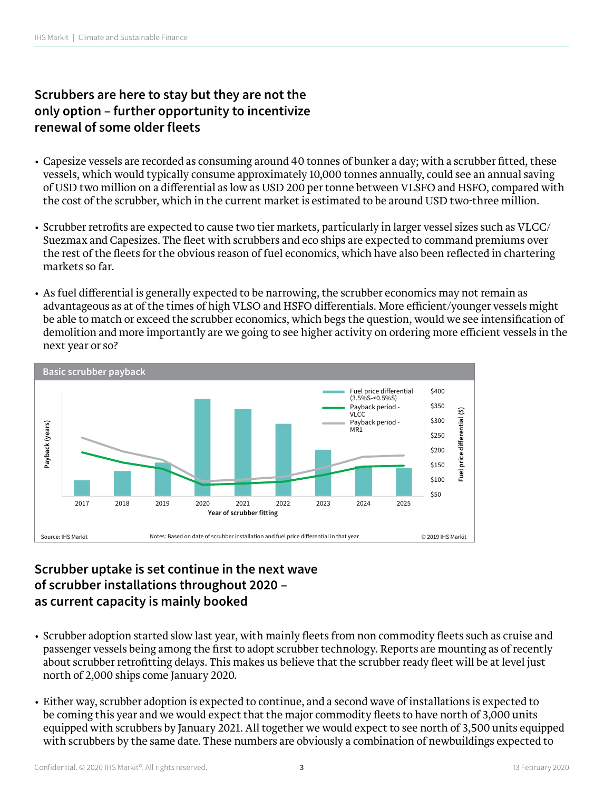## **Scrubbers are here to stay but they are not the only option – further opportunity to incentivize renewal of some older fleets**

- Capesize vessels are recorded as consuming around 40 tonnes of bunker a day; with a scrubber fitted, these vessels, which would typically consume approximately 10,000 tonnes annually, could see an annual saving of USD two million on a differential as low as USD 200 per tonne between VLSFO and HSFO, compared with the cost of the scrubber, which in the current market is estimated to be around USD two-three million.
- Scrubber retrofits are expected to cause two tier markets, particularly in larger vessel sizes such as VLCC/ Suezmax and Capesizes. The fleet with scrubbers and eco ships are expected to command premiums over the rest of the fleets for the obvious reason of fuel economics, which have also been reflected in chartering markets so far.
- As fuel differential is generally expected to be narrowing, the scrubber economics may not remain as advantageous as at of the times of high VLSO and HSFO differentials. More efficient/younger vessels might be able to match or exceed the scrubber economics, which begs the question, would we see intensification of demolition and more importantly are we going to see higher activity on ordering more efficient vessels in the next year or so?



#### **Scrubber uptake is set continue in the next wave of scrubber installations throughout 2020 – as current capacity is mainly booked**

- Scrubber adoption started slow last year, with mainly fleets from non commodity fleets such as cruise and passenger vessels being among the first to adopt scrubber technology. Reports are mounting as of recently about scrubber retrofitting delays. This makes us believe that the scrubber ready fleet will be at level just north of 2,000 ships come January 2020.
- Either way, scrubber adoption is expected to continue, and a second wave of installations is expected to be coming this year and we would expect that the major commodity fleets to have north of 3,000 units equipped with scrubbers by January 2021. All together we would expect to see north of 3,500 units equipped with scrubbers by the same date. These numbers are obviously a combination of newbuildings expected to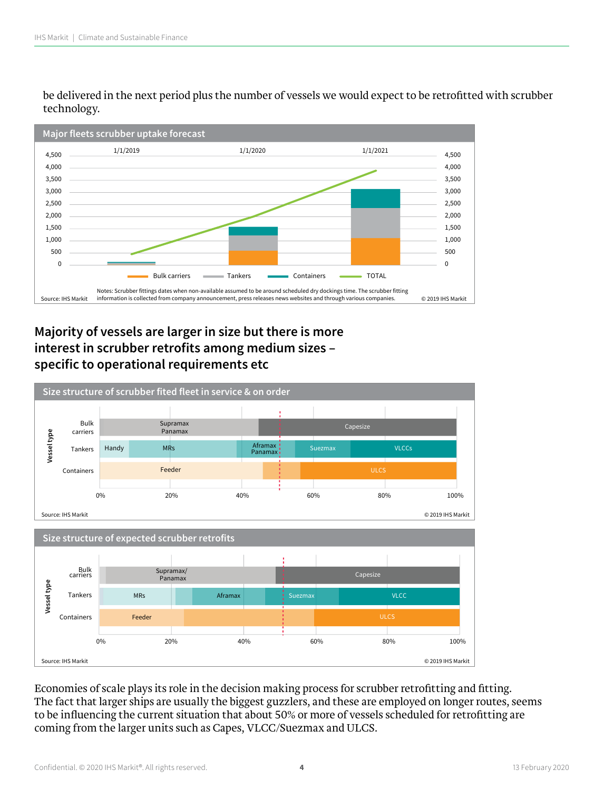be delivered in the next period plus the number of vessels we would expect to be retrofitted with scrubber technology.



### **Majority of vessels are larger in size but there is more interest in scrubber retrofits among medium sizes – specific to operational requirements etc**



Economies of scale plays its role in the decision making process for scrubber retrofitting and fitting. The fact that larger ships are usually the biggest guzzlers, and these are employed on longer routes, seems to be influencing the current situation that about 50% or more of vessels scheduled for retrofitting are coming from the larger units such as Capes, VLCC/Suezmax and ULCS.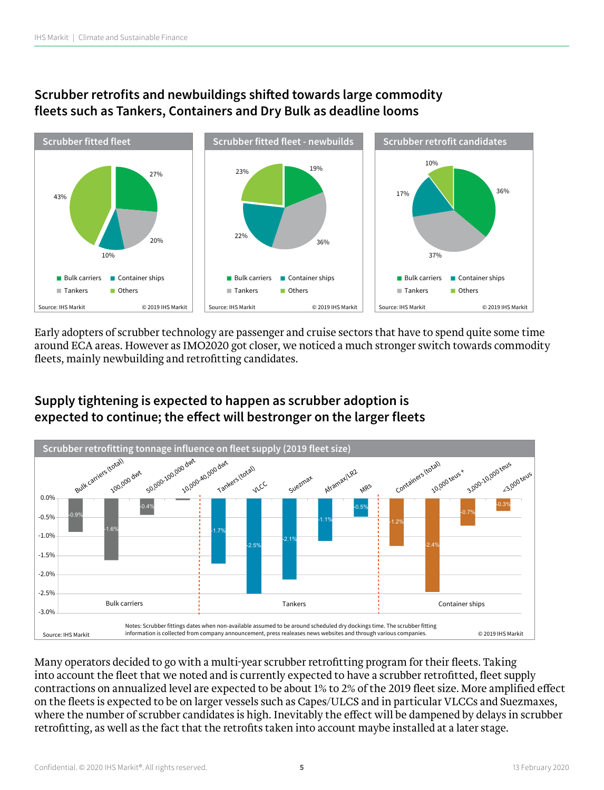#### **Scrubber retrofits and newbuildings shifted towards large commodity fleets such as Tankers, Containers and Dry Bulk as deadline looms**



Early adopters of scrubber technology are passenger and cruise sectors that have to spend quite some time around ECA areas. However as IMO2020 got closer, we noticed a much stronger switch towards commodity fleets, mainly newbuilding and retrofitting candidates.



### **Supply tightening is expected to happen as scrubber adoption is expected to continue; the effect will bestronger on the larger fleets**

Many operators decided to go with a multi-year scrubber retrofitting program for their fleets. Taking into account the fleet that we noted and is currently expected to have a scrubber retrofitted, fleet supply contractions on annualized level are expected to be about 1% to 2% of the 2019 fleet size. More amplified effect on the fleets is expected to be on larger vessels such as Capes/ULCS and in particular VLCCs and Suezmaxes, where the number of scrubber candidates is high. Inevitably the effect will be dampened by delays in scrubber retrofitting, as well as the fact that the retrofits taken into account maybe installed at a later stage.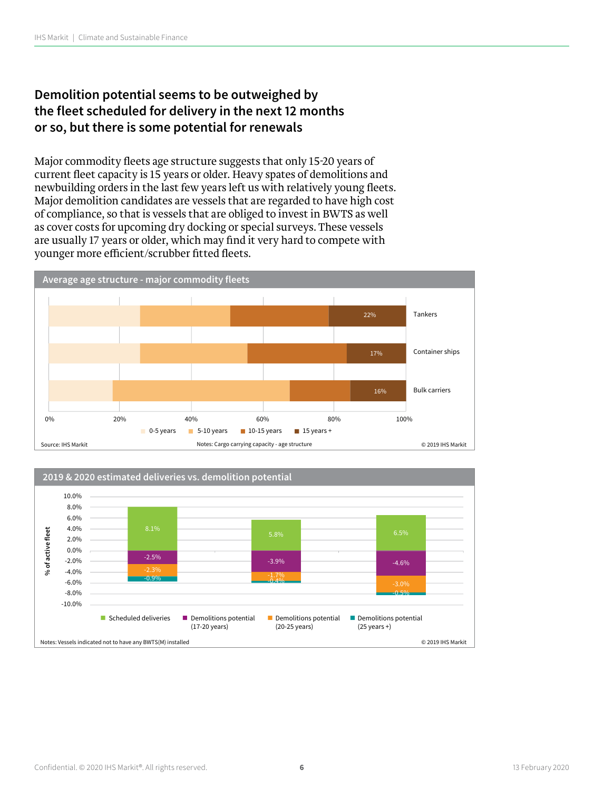## **Demolition potential seems to be outweighed by the fleet scheduled for delivery in the next 12 months or so, but there is some potential for renewals**

Major commodity fleets age structure suggests that only 15-20 years of current fleet capacity is 15 years or older. Heavy spates of demolitions and newbuilding orders in the last few years left us with relatively young fleets. Major demolition candidates are vessels that are regarded to have high cost of compliance, so that is vessels that are obliged to invest in BWTS as well as cover costs for upcoming dry docking or special surveys. These vessels are usually 17 years or older, which may find it very hard to compete with younger more efficient/scrubber fitted fleets.



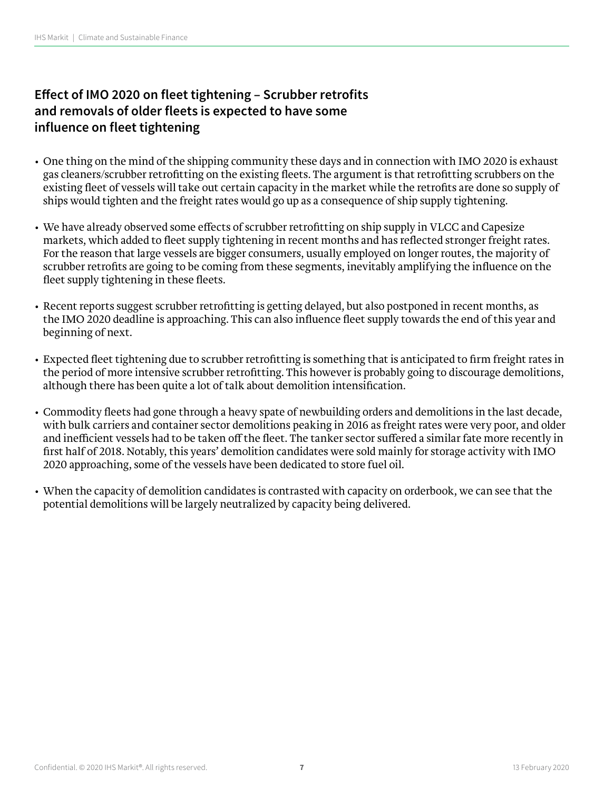## **Effect of IMO 2020 on fleet tightening – Scrubber retrofits and removals of older fleets is expected to have some influence on fleet tightening**

- One thing on the mind of the shipping community these days and in connection with IMO 2020 is exhaust gas cleaners/scrubber retrofitting on the existing fleets. The argument is that retrofitting scrubbers on the existing fleet of vessels will take out certain capacity in the market while the retrofits are done so supply of ships would tighten and the freight rates would go up as a consequence of ship supply tightening.
- We have already observed some effects of scrubber retrofitting on ship supply in VLCC and Capesize markets, which added to fleet supply tightening in recent months and has reflected stronger freight rates. For the reason that large vessels are bigger consumers, usually employed on longer routes, the majority of scrubber retrofits are going to be coming from these segments, inevitably amplifying the influence on the fleet supply tightening in these fleets.
- Recent reports suggest scrubber retrofitting is getting delayed, but also postponed in recent months, as the IMO 2020 deadline is approaching. This can also influence fleet supply towards the end of this year and beginning of next.
- Expected fleet tightening due to scrubber retrofitting is something that is anticipated to firm freight rates in the period of more intensive scrubber retrofitting. This however is probably going to discourage demolitions, although there has been quite a lot of talk about demolition intensification.
- Commodity fleets had gone through a heavy spate of newbuilding orders and demolitions in the last decade, with bulk carriers and container sector demolitions peaking in 2016 as freight rates were very poor, and older and inefficient vessels had to be taken off the fleet. The tanker sector suffered a similar fate more recently in first half of 2018. Notably, this years' demolition candidates were sold mainly for storage activity with IMO 2020 approaching, some of the vessels have been dedicated to store fuel oil.
- When the capacity of demolition candidates is contrasted with capacity on orderbook, we can see that the potential demolitions will be largely neutralized by capacity being delivered.